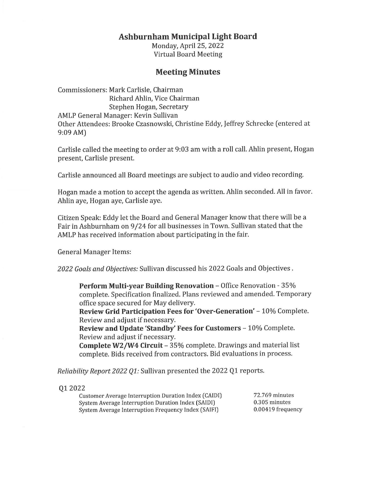## **Ashburnham Municipal Light Board**

Monday, April 25, 2022 Virtual Board Meeting

## **Meeting Minutes**

Commissioners: Mark Carlisle, Chairman Richard Ahlin, Vice Chairman Stephen Hogan, Secretary AMLP General Manager: Kevin Sullivan Other Attendees: Brooke Czasnowski, Christine Eddy, Jeffrey Schrecke (entered at 9:09 AM)

Carlisle called the meeting to order at 9:03 am with a roll call. Ahlin present, Hogan present, Carlisle present.

Carlisle announced all Board meetings are subject to audio and video recording.

Hogan made a motion to accept the agenda as written. Ahlin seconded. All in favor. Ahlin aye, Hogan aye, Carlisle aye.

Citizen Speak: Eddy let the Board and General Manager know that there will be a Fair in Ashburnham on 9 /24 for all businesses in Town. Sullivan stated that the AMLP has received information about participating in the fair.

General Manager Items:

*2022 Goals and Objectives:* Sullivan discussed his 2022 Goals and Objectives .

**Perform Multi-year Building Renovation - Office Renovation - 35%** complete. Specification finalized. Plans reviewed and amended. Temporary office space secured for May delivery.

**Review Grid Participation Fees for 'Over-Generation' - 10% Complete.** Review and adjust if necessary.

**Review and Update 'Standby' Fees for Customers** - 10% Complete. Review and adjust if necessary.

**Complete W2/W4 Circuit** - 35% complete. Drawings and material list complete. Bids received from contractors. Bid evaluations in process.

*Reliability Report 2022 Q1:* Sullivan presented the 2022 Q1 reports.

Ql 2022

| <b>Customer Average Interruption Duration Index (CAIDI)</b> | 72.769 minutes    |
|-------------------------------------------------------------|-------------------|
| System Average Interruption Duration Index (SAIDI)          | $0.305$ minutes   |
| System Average Interruption Frequency Index (SAIFI)         | 0.00419 frequency |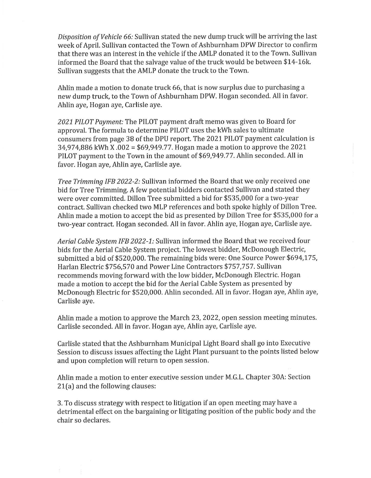*Disposition of Vehicle 66:* Sullivan stated the new dump truck will be arriving the last week of April. Sullivan contacted the Town of Ashburnham DPW Director to confirm that there was an interest in the vehicle if the AMLP donated it to the Town. Sullivan informed the Board that the salvage value of the truck would be between \$14-16k. Sullivan suggests that the AMLP donate the truck to the Town.

Ahlin made a motion to donate truck 66, that is now surplus due to purchasing a new dump truck, to the Town of Ashburnham DPW. Hogan seconded. All in favor. Ahlin aye, Hogan aye, Carlisle aye.

*2021 PILOT Payment:* The PILOT payment draft memo was given to Board for approval. The formula to determine PILOT uses the kWh sales to ultimate consumers from page 38 of the DPU report. The 2021 PILOT payment calculation is 34,974,886 kWh X .002 = [\\$69,949.77](https://69,949.77). Hogan made a motion to approve the 2021 PILOT payment to the Town in the amount of [\\$69,949.77](https://69,949.77). Ahlin seconded. All in favor. Hogan aye, Ahlin aye, Carlisle aye.

*Tree Trimming IFB 2022-2:* Sullivan informed the Board that we only received one bid for Tree Trimming. A few potential bidders contacted Sullivan and stated they were over committed. Dillon Tree submitted a bid for \$535,000 for a two-year contract. Sullivan checked two MLP references and both spoke highly of Dillon Tree. Ahlin made a motion to accept the bid as presented by Dillon Tree for \$535,000 for a two-year contract. Hogan seconded. All in favor. Ahlin aye, Hogan aye, Carlisle aye.

*Aerial Cable System IFB 2022-1:* Sullivan informed the Board that we received four bids for the Aerial Cable System project. The lowest bidder, McDonough Electric, submitted a bid of \$520,000. The remaining bids were: One Source Power \$694,175, Harlan Electric \$756,570 and Power Line Contractors \$757,757. Sullivan recommends moving forward with the low bidder, McDonough Electric. Hogan made a motion to accept the bid for the Aerial Cable System as presented by McDonough Electric for \$520,000. Ahlin seconded. All in favor. Hogan aye, Ahlin aye, Carlisle aye.

Ahlin made a motion to approve the March 23, 2022, open session meeting minutes. Carlisle seconded. All in favor. Hogan aye, Ahlin aye, Carlisle aye.

Carlisle stated that the Ashburnham Municipal Light Board shall go into Executive Session to discuss issues affecting the Light Plant pursuant to the points listed below and upon completion will return to open session.

Ahlin made a motion to enter executive session under M.G.L. Chapter 30A: Section 21(a) and the following clauses:

3. To discuss strategy with respect to litigation if an open meeting may have a detrimental effect on the bargaining or litigating position of the public body and the chair so declares.